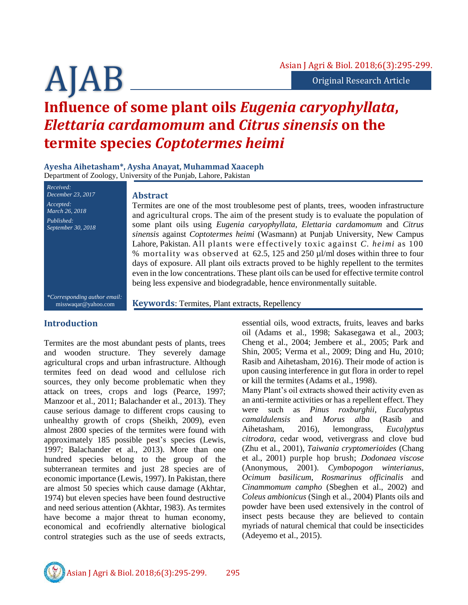# **Influence of some plant oils** *Eugenia caryophyllata***,**  *Elettaria cardamomum* **and** *Citrus sinensis* **on the termite species** *Coptotermes heimi*

**Ayesha Aihetasham\*, Aysha Anayat, Muhammad Xaaceph** Department of Zoology, University of the Punjab, Lahore, Pakistan

*March 26, 2018 Published: September 30, 2018*

#### **Abstract**

Termites are one of the most troublesome pest of plants, trees, wooden infrastructure and agricultural crops. The aim of the present study is to evaluate the population of some plant oils using *Eugenia caryophyllata, Elettaria cardamomum* and *Citrus sinensis* against *Coptotermes heimi* (Wasmann) at Punjab University, New Campus Lahore, Pakistan. All plants were effectively toxic against *C. heimi* as 100 % mortality was observed at 62.5, 125 and 250 µl/ml doses within three to four days of exposure. All plant oils extracts proved to be highly repellent to the termites even in the low concentrations. These plant oils can be used for effective termite control being less expensive and biodegradable, hence environmentally suitable.

*\*Corresponding author email:* misswaqar@yahoo.com

**Keywords**: Termites, Plant extracts, Repellency

# **Introduction**

*Received: December 23, 2017*

*Accepted:* 

Termites are the most abundant pests of plants, trees and wooden structure. They severely damage agricultural crops and urban infrastructure. Although termites feed on dead wood and cellulose rich sources, they only become problematic when they attack on trees, crops and logs (Pearce, 1997; Manzoor et al., 2011; Balachander et al., 2013). They cause serious damage to different crops causing to unhealthy growth of crops (Sheikh, 2009), even almost 2800 species of the termites were found with approximately 185 possible pest's species (Lewis, 1997; Balachander et al., 2013). More than one hundred species belong to the group of the subterranean termites and just 28 species are of economic importance (Lewis, 1997). In Pakistan, there are almost 50 species which cause damage (Akhtar, 1974) but eleven species have been found destructive and need serious attention (Akhtar, 1983). As termites have become a major threat to human economy, economical and ecofriendly alternative biological control strategies such as the use of seeds extracts,

essential oils, wood extracts, fruits, leaves and barks oil (Adams et al., 1998; Sakasegawa et al., 2003; Cheng et al., 2004; Jembere et al., 2005; Park and Shin, 2005; Verma et al., 2009; Ding and Hu, 2010; Rasib and Aihetasham, 2016). Their mode of action is upon causing interference in gut flora in order to repel or kill the termites (Adams et al., 1998).

Many Plant's oil extracts showed their activity even as an anti-termite activities or has a repellent effect. They were such as *Pinus roxburghii*, *Eucalyptus camaldulensis* and *Morus alba* (Rasib and Aihetasham, 2016), lemongrass, *Eucalyptus citrodora*, cedar wood, vetivergrass and clove bud (Zhu et al., 2001), *Taiwania cryptomerioides* (Chang et al., 2001) purple hop brush; *Dodonaea viscose* (Anonymous, 2001). *Cymbopogon winterianus*, *Ocimum basilicum*, *Rosmarinus officinalis* and *Cinammomum campho* (Sbeghen et al., 2002) and *Coleus ambionicus* (Singh et al., 2004) Plants oils and powder have been used extensively in the control of insect pests because they are believed to contain myriads of natural chemical that could be insecticides (Adeyemo et al., 2015).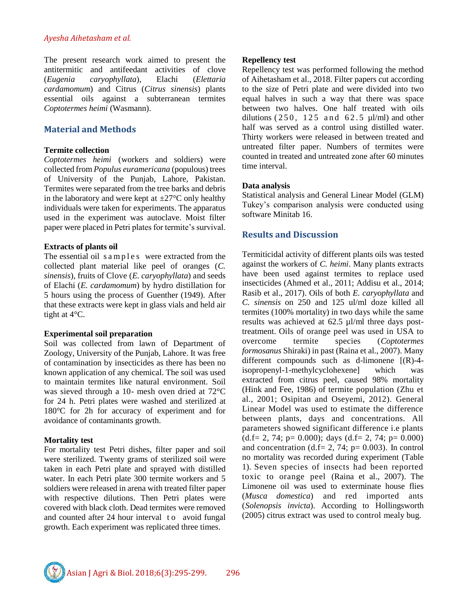#### *Ayesha Aihetasham et al.*

The present research work aimed to present the antitermitic and antifeedant activities of clove (*Eugenia caryophyllata*), Elachi (*Elettaria cardamomum*) and Citrus (*Citrus sinensis*) plants essential oils against a subterranean termites *Coptotermes heimi* (Wasmann).

## **Material and Methods**

#### **Termite collection**

*Coptotermes heimi* (workers and soldiers) were collected from *Populus euramericana* (populous) trees of University of the Punjab, Lahore, Pakistan. Termites were separated from the tree barks and debris in the laboratory and were kept at  $\pm 27^{\circ}$ C only healthy individuals were taken for experiments. The apparatus used in the experiment was autoclave. Moist filter paper were placed in Petri plates for termite's survival.

#### **Extracts of plants oil**

The essential oil s a m p l e s were extracted from the collected plant material like peel of oranges (*C. sinensis*), fruits of Clove (*E. caryophyllata*) and seeds of Elachi (*E. cardamomum*) by hydro distillation for 5 hours using the process of Guenther (1949). After that these extracts were kept in glass vials and held air tight at 4°C.

#### **Experimental soil preparation**

Soil was collected from lawn of Department of Zoology, University of the Punjab, Lahore. It was free of contamination by insecticides as there has been no known application of any chemical. The soil was used to maintain termites like natural environment. Soil was sieved through a 10- mesh oven dried at 72°C for 24 h. Petri plates were washed and sterilized at 180°C for 2h for accuracy of experiment and for avoidance of contaminants growth.

#### **Mortality test**

For mortality test Petri dishes, filter paper and soil were sterilized. Twenty grams of sterilized soil were taken in each Petri plate and sprayed with distilled water. In each Petri plate 300 termite workers and 5 soldiers were released in arena with treated filter paper with respective dilutions. Then Petri plates were covered with black cloth. Dead termites were removed and counted after 24 hour interval to avoid fungal growth. Each experiment was replicated three times.

#### **Repellency test**

Repellency test was performed following the method of Aihetasham et al., 2018. Filter papers cut according to the size of Petri plate and were divided into two equal halves in such a way that there was space between two halves. One half treated with oils dilutions ( $250$ ,  $125$  and  $62.5$   $\mu$ l/ml) and other half was served as a control using distilled water. Thirty workers were released in between treated and untreated filter paper. Numbers of termites were counted in treated and untreated zone after 60 minutes time interval.

#### **Data analysis**

Statistical analysis and General Linear Model (GLM) Tukey's comparison analysis were conducted using software Minitab 16.

# **Results and Discussion**

Termiticidal activity of different plants oils was tested against the workers of *C. heimi*. Many plants extracts have been used against termites to replace used insecticides (Ahmed et al., 2011; Addisu et al., 2014; Rasib et al., 2017). Oils of both *E. caryophyllata* and *C. sinensis* on 250 and 125 ul/ml doze killed all termites (100% mortality) in two days while the same results was achieved at 62.5 µl/ml three days posttreatment. Oils of orange peel was used in USA to overcome termite species (*Coptotermes formosanus* Shiraki) in past (Raina et al., 2007). Many different compounds such as d-limonene [(R)-4 isopropenyl-1-methylcyclohexene] which was extracted from citrus peel, caused 98% mortality (Hink and Fee, 1986) of termite population (Zhu et al., 2001; Osipitan and Oseyemi, 2012). General Linear Model was used to estimate the difference between plants, days and concentrations. All parameters showed significant difference i.e plants  $(d.f= 2, 74; p= 0.000);$  days  $(d.f= 2, 74; p= 0.000)$ and concentration (d.f= 2, 74;  $p= 0.003$ ). In control no mortality was recorded during experiment (Table 1). Seven species of insects had been reported toxic to orange peel (Raina et al., 2007). The Limonene oil was used to exterminate house flies (*Musca domestica*) and red imported ants (*Solenopsis invicta*). According to Hollingsworth (2005) citrus extract was used to control mealy bug.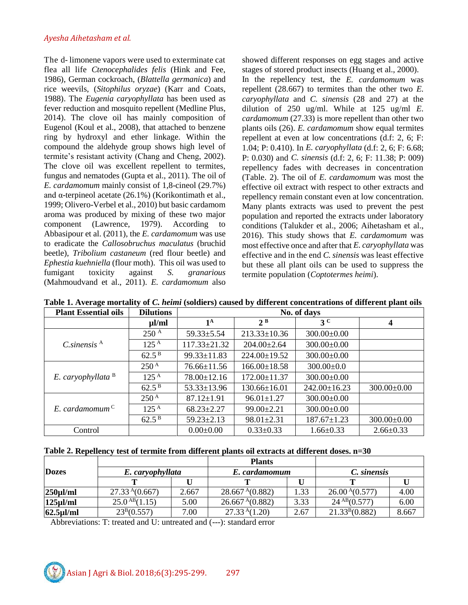The d- limonene vapors were used to exterminate cat flea all life *Ctenocephalides felis* (Hink and Fee, 1986), German cockroach, (*Blattella germanica*) and rice weevils, (*Sitophilus oryzae*) (Karr and Coats, 1988). The *Eugenia caryophyllata* has been used as fever reduction and mosquito repellent (Medline Plus, 2014). The clove oil has mainly composition of Eugenol (Koul et al., 2008), that attached to benzene ring by hydroxyl and ether linkage. Within the compound the aldehyde group shows high level of termite's resistant activity (Chang and Cheng, 2002). The clove oil was excellent repellent to termites, fungus and nematodes (Gupta et al., 2011). The oil of *E. cardamomum* mainly consist of 1,8-cineol (29.7%) and  $\alpha$ -terpineol acetate (26.1%) (Korikontimath et al., 1999; Olivero-Verbel et al., 2010) but basic cardamom aroma was produced by mixing of these two major component (Lawrence, 1979). According to Abbasipour et al. (2011), the *E. cardamomum* was use to eradicate the *Callosobruchus maculatus* (bruchid beetle), *Tribolium castaneum* (red flour beetle) and *Ephestia kuehniella* (flour moth). This oil was used to fumigant toxicity against *S. granarious* (Mahmoudvand et al., 2011). *E. cardamomum* also

showed different responses on egg stages and active stages of stored product insects [\(Huang et al., 2000\)](http://www.ncbi.nlm.nih.gov/pmc/articles/PMC3281396/#bibr16).

In the repellency test, the *E. cardamomum* was repellent (28.667) to termites than the other two *E. caryophyllata* and *C. sinensis* (28 and 27) at the dilution of 250 ug/ml. While at 125 ug/ml *E. cardamomum* (27.33) is more repellent than other two plants oils (26). *E. cardamomum* show equal termites repellent at even at low concentrations (d.f: 2, 6; F: 1.04; P: 0.410). In *E. caryophyllata* (d.f: 2, 6; F: 6.68; P: 0.030) and *C. sinensis* (d.f: 2, 6; F: 11.38; P: 009) repellency fades with decreases in concentration (Table. 2). The oil of *E. cardamomum* was most the effective oil extract with respect to other extracts and repellency remain constant even at low concentration. Many plants extracts was used to prevent the pest population and reported the extracts under laboratory conditions (Talukder et al., 2006; Aihetasham et al., 2016). This study shows that *E. cardamomum* was most effective once and after that *E. caryophyllata* was effective and in the end *C. sinensis* was least effective but these all plant oils can be used to suppress the termite population (*Coptotermes heimi*).

| <b>Plant Essential oils</b>    | <b>Dilutions</b>   | No. of days        |                    |                    |                         |  |  |  |
|--------------------------------|--------------------|--------------------|--------------------|--------------------|-------------------------|--|--|--|
|                                | $\mu$ l/ml         | $1^{\mathrm{A}}$   | $2^B$              | 3 <sup>c</sup>     | $\overline{\mathbf{4}}$ |  |  |  |
| $C.\text{sinensis}^{\text{A}}$ | 250 <sup>A</sup>   | $59.33 \pm 5.54$   | $213.33 \pm 10.36$ | $300.00 \pm 0.00$  |                         |  |  |  |
|                                | 125 <sup>A</sup>   | $117.33 \pm 21.32$ | $204.00 \pm 2.64$  | $300.00 \pm 0.00$  |                         |  |  |  |
|                                | $62.5^{\,\rm B}$   | $99.33 \pm 11.83$  | $224.00 \pm 19.52$ | $300.00 \pm 0.00$  |                         |  |  |  |
| E. caryophyllata $B$           | $250^{\mathrm{A}}$ | $76.66 \pm 11.56$  | $166.00 \pm 18.58$ | $300.00 \pm 0.0$   |                         |  |  |  |
|                                | $125^{\text{A}}$   | 78.00±12.16        | $172.00 \pm 11.37$ | $300.00 \pm 0.00$  |                         |  |  |  |
|                                | $62.5^{\,\rm B}$   | $53.33 \pm 13.96$  | $130.66 \pm 16.01$ | $242.00 \pm 16.23$ | $300.00 \pm 0.00$       |  |  |  |
| E. cardamomum <sup>C</sup>     | $250^{\mathrm{A}}$ | $87.12 \pm 1.91$   | $96.01 \pm 1.27$   | $300.00 \pm 0.00$  |                         |  |  |  |
|                                | $125^{\mathrm{A}}$ | $68.23 \pm 2.27$   | $99.00 \pm 2.21$   | $300.00 \pm 0.00$  |                         |  |  |  |
|                                | $62.5^{\,\rm B}$   | $59.23 \pm 2.13$   | $98.01 \pm 2.31$   | $187.67 \pm 1.23$  | $300.00 \pm 0.00$       |  |  |  |
| Control                        |                    | $0.00 \pm 0.00$    | $0.33 \pm 0.33$    | $1.66 \pm 0.33$    | $2.66 \pm 0.33$         |  |  |  |

**Table 1. Average mortality of** *C. heimi* **(soldiers) caused by different concentrations of different plant oils**

| Table 2. Repellency test of termite from different plants oil extracts at different doses. n=30 |  |  |
|-------------------------------------------------------------------------------------------------|--|--|
|-------------------------------------------------------------------------------------------------|--|--|

|                                  |                    | <b>Plants</b> |                             |      |                    |       |
|----------------------------------|--------------------|---------------|-----------------------------|------|--------------------|-------|
| <b>Dozes</b><br>E. caryophyllata |                    |               | E. cardamomum               |      | C. sinensis        |       |
|                                  |                    |               |                             |      |                    |       |
| $250 \mu$ I/ml                   | $27.33^{A}(0.667)$ | 2.667         | 28.667 <sup>A</sup> (0.882) | 1.33 | $26.00^{A}(0.577)$ | 4.00  |
| $125 \mu$ l/ml                   | $25.0^{AB}(1.15)$  | 5.00          | 26.667 <sup>A</sup> (0.882) | 3.33 | $24^{AB}(0.577)$   | 6.00  |
| $62.5$ ul/ml                     | $23^B(0.557)$      | 7.00          | 27.33 <sup>A</sup> (1.20)   | 2.67 | $21.33^{B}(0.882)$ | 8.667 |

Abbreviations: T: treated and U: untreated and (---): standard error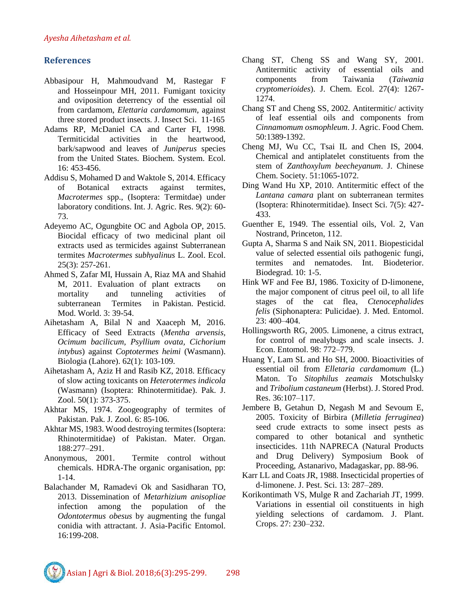# **References**

- [Abbasipour H,](http://www.ncbi.nlm.nih.gov/pubmed/?term=Abbasipour%20H%5BAuthor%5D&cauthor=true&cauthor_uid=22242564) [Mahmoudvand M,](http://www.ncbi.nlm.nih.gov/pubmed/?term=Mahmoudvand%20M%5BAuthor%5D&cauthor=true&cauthor_uid=22242564) [Rastegar F](http://www.ncbi.nlm.nih.gov/pubmed/?term=Rastegar%20F%5BAuthor%5D&cauthor=true&cauthor_uid=22242564) and [Hosseinpour MH,](http://www.ncbi.nlm.nih.gov/pubmed/?term=Hosseinpour%20MH%5BAuthor%5D&cauthor=true&cauthor_uid=22242564) 2011. Fumigant toxicity and oviposition deterrency of the essential oil from cardamom, *Elettaria cardamomum*, against three stored product insects. [J. Insect Sci.](http://www.ncbi.nlm.nih.gov/pubmed/22242564) 11-165
- Adams RP, McDaniel CA and Carter FI, 1998. Termiticidal activities in the heartwood, bark/sapwood and leaves of *Juniperus* species from the United States. Biochem. System. Ecol. 16: 453-456.
- Addisu S, Mohamed D and Waktole S, 2014. Efficacy of Botanical extracts against termites, *Macrotermes* spp., (Isoptera: Termitdae) under laboratory conditions. Int. J. Agric. Res. 9(2): 60- 73.
- Adeyemo AC, Ogungbite OC and Agbola OP, 2015. Biocidal efficacy of two medicinal plant oil extracts used as termicides against Subterranean termites *Macrotermes subhyalinus* L. Zool. Ecol. 25(3): 257-261.
- Ahmed S, Zafar MI, Hussain A, Riaz MA and Shahid M, 2011. Evaluation of plant extracts on mortality and tunneling activities of subterranean Termites in Pakistan. Pesticid. Mod. World. 3: 39-54.
- Aihetasham A, Bilal N and Xaaceph M, 2016. Efficacy of Seed Extracts (*Mentha arvensis, Ocimum bacilicum, Psyllium ovata, Cichorium intybus*) against *Coptotermes heimi* (Wasmann). Biologia (Lahore). 62(1): 103-109.
- Aihetasham A, Aziz H and Rasib KZ, 2018. Efficacy of slow acting toxicants on *Heterotermes indicola* (Wasmann) (Isoptera: Rhinotermitidae). Pak. J. Zool. 50(1): 373-375.
- Akhtar MS, 1974. Zoogeography of termites of Pakistan. Pak. J. Zool. 6: 85-106.
- Akhtar MS, 1983. Wood destroying termites (Isoptera: Rhinotermitidae) of Pakistan. Mater. Organ. 188:277–291.
- Anonymous, 2001. Termite control without chemicals. HDRA-The organic organisation, pp: 1-14.
- Balachander M, Ramadevi Ok and Sasidharan TO, 2013. Dissemination of *Metarhizium anisopliae* infection among the population of the *Odontotermus obesus* by augmenting the fungal conidia with attractant. J. Asia-Pacific Entomol. 16:199-208.
- Chang ST, Cheng SS and Wang SY, 2001. Antitermitic activity of essential oils and components from Taiwania (*Taiwania cryptomerioides*). J. Chem. Ecol. 27(4): 1267- 1274.
- Chang ST and Cheng SS, 2002. Antitermitic/ activity of leaf essential oils and components from *Cinnamomum osmophleum*. J. Agric. Food Chem. 50:1389-1392.
- Cheng MJ, Wu CC, Tsai IL and Chen IS, 2004. Chemical and antiplatelet constituents from the stem of *Zanthoxylum beecheyanum*. J. Chinese Chem. Society. 51:1065-1072.
- Ding Wand Hu XP, 2010. Antitermitic effect of the *Lantana camara* plant on subterranean termites (Isoptera: Rhinotermitidae). Insect Sci. 7(5): 427- 433.
- Guenther E, 1949. The essential oils, Vol. 2, Van Nostrand, Princeton, 112.
- Gupta A, Sharma S and Naik SN, 2011. Biopesticidal value of selected essential oils pathogenic fungi, termites and nematodes. Int. Biodeterior. Biodegrad. 10: 1-5.
- Hink WF and Fee BJ, 1986. Toxicity of D-limonene, the major component of citrus peel oil, to all life stages of the cat flea, *Ctenocephalides felis* (Siphonaptera: Pulicidae). J. Med. Entomol. 23: 400–404.
- Hollingsworth RG, 2005. Limonene, a citrus extract, for control of mealybugs and scale insects. J. Econ. Entomol. 98: 772–779.
- Huang Y, Lam SL and Ho SH, 2000. Bioactivities of essential oil from *Elletaria cardamomum* (L.) Maton. To *Sitophilus zeamais* Motschulsky and *Tribolium castaneum* (Herbst). J. Stored Prod. Res. 36:107–117.
- Jembere B, Getahun D, Negash M and Sevoum E, 2005. Toxicity of Birbira (*Milletia ferruginea*) seed crude extracts to some insect pests as compared to other botanical and synthetic insecticides. 11th NAPRECA (Natural Products and Drug Delivery) Symposium Book of Proceeding, Astanarivo, Madagaskar, pp. 88-96.
- Karr LL and Coats JR, 1988. Insecticidal properties of d-limonene. J. Pest. Sci. 13: 287–289.
- Korikontimath VS, Mulge R and Zachariah JT, 1999. Variations in essential oil constituents in high yielding selections of cardamom. J. Plant. Crops. 27: 230–232.

Asian J Agri & Biol. 2018;6(3):295-299. 298